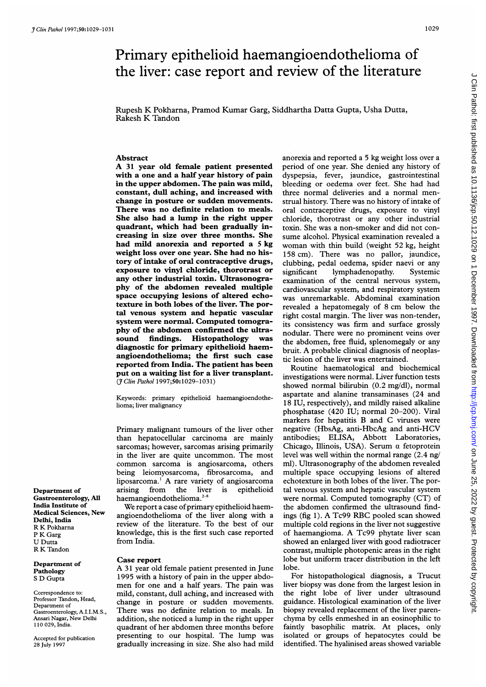## <sup>1</sup> 029

# Primary epithelioid haemangioendothelioma of the liver: case report and review of the literature

Rupesh K Pokharna, Pramod Kumar Garg, Siddhartha Datta Gupta, Usha Dutta, Rakesh K Tandon

### Abstract

A <sup>31</sup> year old female patient presented with a one and a half year history of pain in the upper abdomen. The pain was mild, constant, dull aching, and increased with change in posture or sudden movements. There was no definite relation to meals. She also had a lump in the right upper quadrant, which had been gradually increasing in size over three months. She had mild anorexia and reported a <sup>5</sup> kg weight loss over one year. She had no history of intake of oral contraceptive drugs, exposure to vinyl chloride, thorotrast or any other industrial toxin. Ultrasonography of the abdomen revealed multiple space occupying lesions of altered echotexture in both lobes of the liver. The portal venous system and hepatic vascular system were normal. Computed tomography of the abdomen confirmed the ultrasound findings. Histopathology was diagnostic for primary epithelioid haemangioendothelioma; the first such case reported from India. The patient has been put on a waiting list for a liver transplant. (*† Clin Pathol* 1997;50:1029-1031)

Keywords: primary epithelioid haemangioendothelioma; liver malignancy

Primary malignant tumours of the liver other than hepatocellular carcinoma are mainly sarcomas; however, sarcomas arising primarily in the liver are quite uncommon. The most common sarcoma is angiosarcoma, others being leiomyosarcoma, fibrosarcoma, and liposarcoma.' A rare variety of angiosarcoma arising from the liver is epithelioid haemangioendothelioma.<sup>2-8</sup>

We report a case of primary epithelioid haemangioendothelioma of the liver along with a review of the literature. To the best of our knowledge, this is the first such case reported from India.

#### Case report

A <sup>31</sup> year old female patient presented in June 1995 with a history of pain in the upper abdomen for one and <sup>a</sup> half years. The pain was mild, constant, dull aching, and increased with change in posture or sudden movements. There was no definite relation to meals. In addition, she noticed a lump in the right upper quadrant of her abdomen three months before presenting to our hospital. The lump was gradually increasing in size. She also had mild

anorexia and reported a 5 kg weight loss over a period of one year. She denied any history of dyspepsia, fever, jaundice, gastrointestinal bleeding or oedema over feet. She had had three normal deliveries and a normal menstrual history. There was no history of intake of oral contraceptive drugs, exposure to vinyl chloride, thorotrast or any other industrial toxin. She was a non-smoker and did not consume alcohol. Physical examination revealed a woman with thin build (weight 52 kg, height 158 cm). There was no pallor, jaundice, clubbing, pedal oedema, spider naevi or any significant lymphadenopathy. Systemic examination of the central nervous system, cardiovascular system, and respiratory system was unremarkable. Abdominal examination revealed <sup>a</sup> hepatomegaly of <sup>8</sup> cm below the right costal margin. The liver was non-tender, its consistency was firm and surface grossly nodular. There were no prominent veins over the abdomen, free fluid, splenomegaly or any bruit. A probable clinical diagnosis of neoplastic lesion of the liver was entertained.

Routine haematological and biochemical investigations were normal. Liver function tests showed normal bilirubin (0.2 mg/dl), normal aspartate and alanine transaminases (24 and 18 IU, respectively), and mildly raised alkaline phosphatase (420 IU; normal 20-200). Viral markers for hepatitis B and C viruses were negative (HbsAg, anti-HbcAg and anti-HCV antibodies; ELISA, Abbott Laboratories, Chicago, Illinois, USA). Serum  $\alpha$  fetoprotein level was well within the normal range (2.4 ng/ ml). Ultrasonography of the abdomen revealed multiple space occupying lesions of altered echotexture in both lobes of the liver. The portal venous system and hepatic vascular system were normal. Computed tomography (CT) of the abdomen confirmed the ultrasound findings (fig 1). A Tc99 RBC pooled scan showed multiple cold regions in the liver not suggestive of haemangioma. A Tc99 phytate liver scan showed an enlarged liver with good radiotracer contrast, multiple photopenic areas in the right lobe but uniform tracer distribution in the left lobe.

For histopathological diagnosis, a Trucut liver biopsy was done from the largest lesion in the right lobe of liver under ultrasound guidance. Histological examination of the liver biopsy revealed replacement of the liver parenchyma by cells enmeshed in an eosinophilic to faintly basophilic matrix. At places, only isolated or groups of hepatocytes could be identified. The hyalinised areas showed variable

Department of Gastroenterology, All India Institute of Medical Sciences, New Delhi, India R K Pokharna P K Garg U Dutta R K Tandon

Department of **Pathology** <sup>S</sup> D Gupta

Correspondence to: Professor Tandon, Head, Department of Gastroenterology, A.I.I.M.S., Ansari Nagar, New Delhi 110 029, India.

Accepted for publication 28 July 1997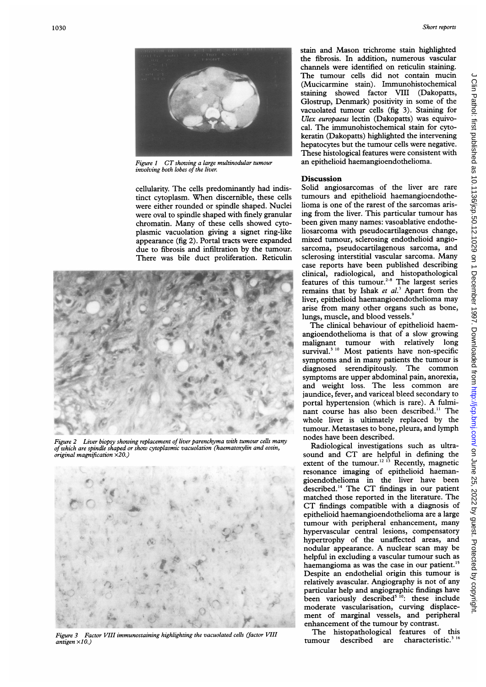

Figure 1 CT showing a large multinodular tumour involving both lobes of the liver.

cellularity. The cells predominantly had indistinct cytoplasm. When discernible, these cells were either rounded or spindle shaped. Nuclei were oval to spindle shaped with finely granular chromatin. Many of these cells showed cytoplasmic vacuolation giving a signet ring-like appearance (fig 2). Portal tracts were expanded due to fibrosis and infiltration by the tumour. There was bile duct proliferation. Reticulin



Figure 2 Liver biopsy showing replacement of liver parenchyma with tumour cells many of which are spindle shaped or show cytoplasmic vacuolation (haematoxylin and eosin, original magnification x20.)



Figure 3 Factor VIII immunostaining highlighting the vacuolated cells (factor VIII  $aniteen \times 10$ .

stain and Mason trichrome stain highlighted the fibrosis. In addition, numerous vascular channels were identified on reticulin staining. The tumour cells did not contain mucin (Mucicarmine stain). Immunohistochemical staining showed factor VIII (Dakopatts, Glostrup, Denmark) positivity in some of the vacuolated tumour cells (fig 3). Staining for Ulex europaeus lectin (Dakopatts) was equivocal. The immunohistochemical stain for cytokeratin (Dakopatts) highlighted the intervening hepatocytes but the tumour cells were negative. These histological features were consistent with an epithelioid haemangioendothelioma.

#### **Discussion**

Solid angiosarcomas of the liver are rare tumours and epithelioid haemangioendothelioma is one of the rarest of the sarcomas arising from the liver. This particular tumour has been given many names: vasoablative endotheliosarcoma with pseudocartilagenous change, mixed tumour, sclerosing endothelioid angiosarcoma, pseudocartilagenous sarcoma, and sclerosing interstitial vascular sarcoma. Many case reports have been published describing clinical, radiological, and histopathological features of this tumour.<sup>2-8</sup> The largest series remains that by Ishak et  $al^3$ . Apart from the liver, epithelioid haemangioendothelioma may arise from many other organs such as bone, lungs, muscle, and blood vessels.<sup>9</sup>

The clinical behaviour of epithelioid haemangioendothelioma is that of a slow growing malignant tumour with relatively long survival.<sup>3 10</sup> Most patients have non-specific symptoms and in many patients the tumour is diagnosed serendipitously. The common symptoms are upper abdominal pain, anorexia, and weight loss. The less common are jaundice, fever, and variceal bleed secondary to portal hypertension (which is rare). A fulminant course has also been described." The whole liver is ultimately replaced by the tumour. Metastases to bone, pleura, and lymph nodes have been described.

Radiological investigations such as ultrasound and CT are helpful in defining the extent of the tumour.<sup>12 13</sup> Recently, magnetic resonance imaging of epithelioid haemangioendothelioma in the liver have been described.'4 The CT findings in our patient matched those reported in the literature. The CT findings compatible with <sup>a</sup> diagnosis of epithelioid haemangioendothelioma are a large tumour with peripheral enhancement, many hypervascular central lesions, compensatory hypertrophy of the unaffected areas, and nodular appearance. A nuclear scan may be helpful in excluding a vascular tumour such as haemangioma as was the case in our patient.'5 Despite an endothelial origin this tumour is relatively avascular. Angiography is not of any particular help and angiographic findings have been variously described<sup>5 10</sup>: these include moderate vascularisation, curving displacement of marginal vessels, and peripheral enhancement of the tumour by contrast.

The histopathological features of this tumour described are characteristic.<sup>316</sup>